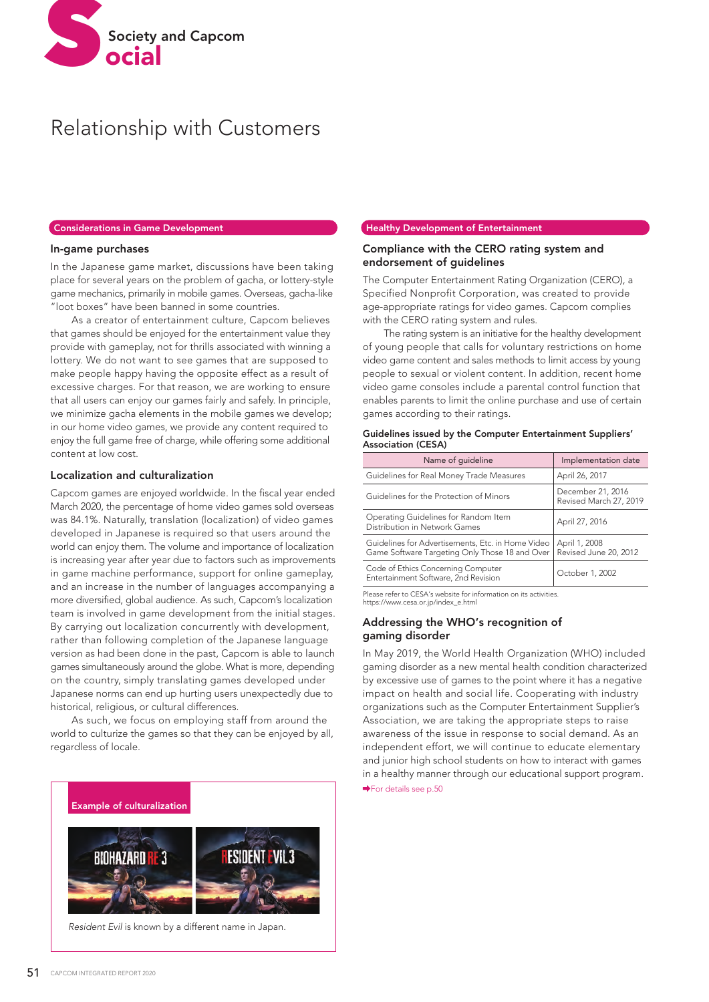

# Relationship with Customers

#### Considerations in Game Development

### In-game purchases

In the Japanese game market, discussions have been taking place for several years on the problem of gacha, or lottery-style game mechanics, primarily in mobile games. Overseas, gacha-like "loot boxes" have been banned in some countries.

 As a creator of entertainment culture, Capcom believes that games should be enjoyed for the entertainment value they provide with gameplay, not for thrills associated with winning a lottery. We do not want to see games that are supposed to make people happy having the opposite effect as a result of excessive charges. For that reason, we are working to ensure that all users can enjoy our games fairly and safely. In principle, we minimize gacha elements in the mobile games we develop; in our home video games, we provide any content required to enjoy the full game free of charge, while offering some additional content at low cost.

# Localization and culturalization

Capcom games are enjoyed worldwide. In the fiscal year ended March 2020, the percentage of home video games sold overseas was 84.1%. Naturally, translation (localization) of video games developed in Japanese is required so that users around the world can enjoy them. The volume and importance of localization is increasing year after year due to factors such as improvements in game machine performance, support for online gameplay, and an increase in the number of languages accompanying a more diversified, global audience. As such, Capcom's localization team is involved in game development from the initial stages. By carrying out localization concurrently with development, rather than following completion of the Japanese language version as had been done in the past, Capcom is able to launch games simultaneously around the globe. What is more, depending on the country, simply translating games developed under Japanese norms can end up hurting users unexpectedly due to historical, religious, or cultural differences.

 As such, we focus on employing staff from around the world to culturize the games so that they can be enjoyed by all, regardless of locale.



*Resident Evil* is known by a different name in Japan.

# Healthy Development of Entertainment

# Compliance with the CERO rating system and endorsement of guidelines

The Computer Entertainment Rating Organization (CERO), a Specified Nonprofit Corporation, was created to provide age-appropriate ratings for video games. Capcom complies with the CERO rating system and rules.

 The rating system is an initiative for the healthy development of young people that calls for voluntary restrictions on home video game content and sales methods to limit access by young people to sexual or violent content. In addition, recent home video game consoles include a parental control function that enables parents to limit the online purchase and use of certain games according to their ratings.

| Name of guideline                                                                                   | Implementation date                         |
|-----------------------------------------------------------------------------------------------------|---------------------------------------------|
| Guidelines for Real Money Trade Measures                                                            | April 26, 2017                              |
| Guidelines for the Protection of Minors                                                             | December 21, 2016<br>Revised March 27, 2019 |
| Operating Guidelines for Random Item<br>Distribution in Network Games                               | April 27, 2016                              |
| Guidelines for Advertisements, Etc. in Home Video<br>Game Software Targeting Only Those 18 and Over | April 1, 2008<br>Revised June 20, 2012      |
| Code of Ethics Concerning Computer<br>Entertainment Software, 2nd Revision                          | October 1, 2002                             |

#### Guidelines issued by the Computer Entertainment Suppliers' Association (CESA)

Please refer to CESA's website for information on its activities. https://www.cesa.or.jp/index\_e.html

# Addressing the WHO's recognition of gaming disorder

In May 2019, the World Health Organization (WHO) included gaming disorder as a new mental health condition characterized by excessive use of games to the point where it has a negative impact on health and social life. Cooperating with industry organizations such as the Computer Entertainment Supplier's Association, we are taking the appropriate steps to raise awareness of the issue in response to social demand. As an independent effort, we will continue to educate elementary and junior high school students on how to interact with games in a healthy manner through our educational support program. For details see p.50